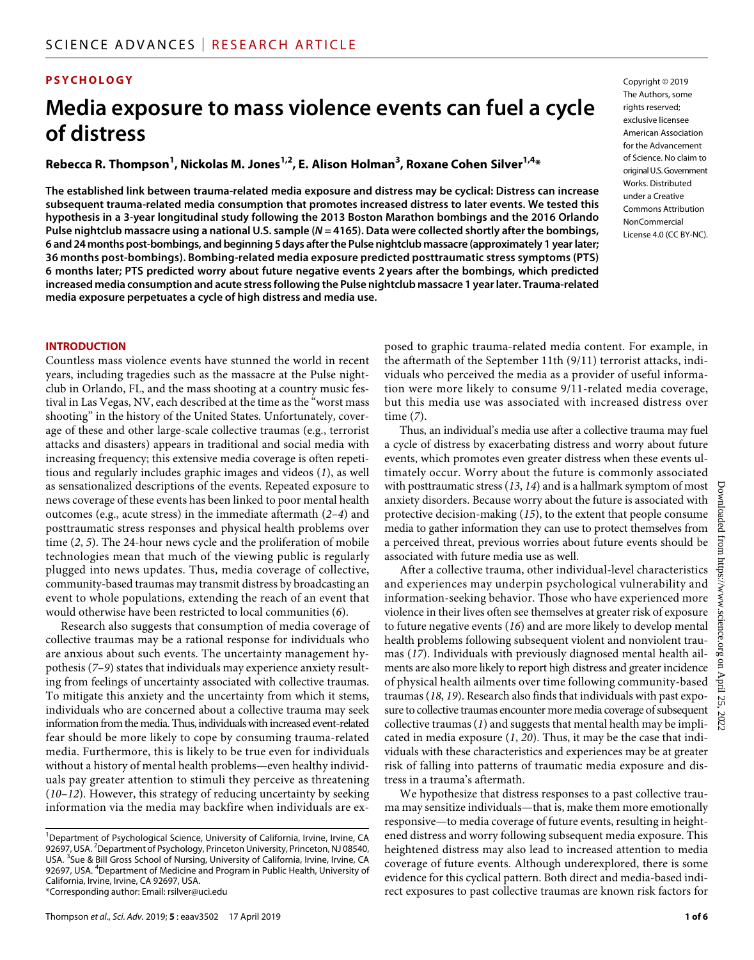### **PSYCHOLOGY**

# **Media exposure to mass violence events can fuel a cycle of distress**

**Rebecca R. Thompson1 , Nickolas M. Jones1,2 , E. Alison Holman3 , Roxane Cohen Silver1,4 \***

**The established link between trauma-related media exposure and distress may be cyclical: Distress can increase subsequent trauma-related media consumption that promotes increased distress to later events. We tested this hypothesis in a 3-year longitudinal study following the 2013 Boston Marathon bombings and the 2016 Orlando Pulse nightclub massacre using a national U.S. sample (***N* **= 4165). Data were collected shortly after the bombings, 6 and 24months post-bombings, and beginning 5days after the Pulse nightclub massacre (approximately 1 year later; 36 months post-bombings). Bombing-related media exposure predicted posttraumatic stress symptoms (PTS) 6 months later; PTS predicted worry about future negative events 2 years after the bombings, which predicted increased media consumption and acute stress following the Pulse nightclub massacre 1 year later. Trauma-related media exposure perpetuates a cycle of high distress and media use.**

Copyright © 2019 The Authors, some rights reserved: exclusive licensee American Association for the Advancement of Science. No claim to original U.S.Government Works. Distributed under a Creative Commons Attribution **NonCommercial** License 4.0 (CC BY-NC).

#### **INTRODUCTION**

Countless mass violence events have stunned the world in recent years, including tragedies such as the massacre at the Pulse nightclub in Orlando, FL, and the mass shooting at a country music festival in Las Vegas, NV, each described at the time as the "worst mass shooting" in the history of the United States. Unfortunately, coverage of these and other large-scale collective traumas (e.g., terrorist attacks and disasters) appears in traditional and social media with increasing frequency; this extensive media coverage is often repetitious and regularly includes graphic images and videos (*1*), as well as sensationalized descriptions of the events. Repeated exposure to news coverage of these events has been linked to poor mental health outcomes (e.g., acute stress) in the immediate aftermath (*2*–*4*) and posttraumatic stress responses and physical health problems over time (*2*, *5*). The 24-hour news cycle and the proliferation of mobile technologies mean that much of the viewing public is regularly plugged into news updates. Thus, media coverage of collective, community-based traumas may transmit distress by broadcasting an event to whole populations, extending the reach of an event that would otherwise have been restricted to local communities (*6*).

Research also suggests that consumption of media coverage of collective traumas may be a rational response for individuals who are anxious about such events. The uncertainty management hypothesis (*7*–*9*) states that individuals may experience anxiety resulting from feelings of uncertainty associated with collective traumas. To mitigate this anxiety and the uncertainty from which it stems, individuals who are concerned about a collective trauma may seek information from the media. Thus, individuals with increased event-related fear should be more likely to cope by consuming trauma-related media. Furthermore, this is likely to be true even for individuals without a history of mental health problems—even healthy individuals pay greater attention to stimuli they perceive as threatening (*10*–*12*). However, this strategy of reducing uncertainty by seeking information via the media may backfire when individuals are ex-

posed to graphic trauma-related media content. For example, in the aftermath of the September 11th (9/11) terrorist attacks, individuals who perceived the media as a provider of useful information were more likely to consume 9/11-related media coverage, but this media use was associated with increased distress over time (*7*).

Thus, an individual's media use after a collective trauma may fuel a cycle of distress by exacerbating distress and worry about future events, which promotes even greater distress when these events ultimately occur. Worry about the future is commonly associated with posttraumatic stress (*13*, *14*) and is a hallmark symptom of most anxiety disorders. Because worry about the future is associated with protective decision-making (*15*), to the extent that people consume media to gather information they can use to protect themselves from a perceived threat, previous worries about future events should be associated with future media use as well.

After a collective trauma, other individual-level characteristics and experiences may underpin psychological vulnerability and information-seeking behavior. Those who have experienced more violence in their lives often see themselves at greater risk of exposure to future negative events (*16*) and are more likely to develop mental health problems following subsequent violent and nonviolent traumas (*17*). Individuals with previously diagnosed mental health ailments are also more likely to report high distress and greater incidence of physical health ailments over time following community-based traumas (*18*, *19*). Research also finds that individuals with past exposure to collective traumas encounter more media coverage of subsequent collective traumas (*1*) and suggests that mental health may be implicated in media exposure (*1*, *20*). Thus, it may be the case that individuals with these characteristics and experiences may be at greater risk of falling into patterns of traumatic media exposure and distress in a trauma's aftermath.

We hypothesize that distress responses to a past collective trauma may sensitize individuals—that is, make them more emotionally responsive—to media coverage of future events, resulting in heightened distress and worry following subsequent media exposure. This heightened distress may also lead to increased attention to media coverage of future events. Although underexplored, there is some evidence for this cyclical pattern. Both direct and media-based indirect exposures to past collective traumas are known risk factors for

<sup>&</sup>lt;sup>1</sup>Department of Psychological Science, University of California, Irvine, Irvine, CA 92697, USA.<sup>2</sup> Department of Psychology, Princeton University, Princeton, NJ 08540, USA.<sup>3</sup> Sue & Bill Gross School of Nursing, University of California, Irvine, Irvine, CA 92697, USA. <sup>4</sup>Department of Medicine and Program in Public Health, University of California, Irvine, Irvine, CA 92697, USA. \*Corresponding author: Email: rsilver@uci.edu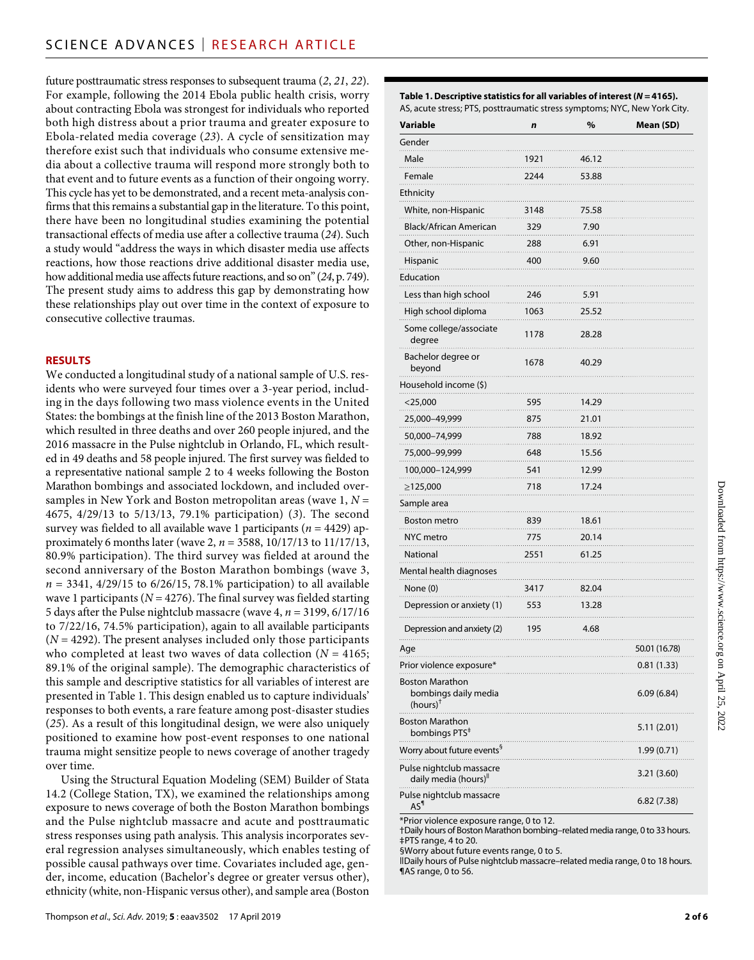future posttraumatic stress responses to subsequent trauma (*2*, *21*, *22*). For example, following the 2014 Ebola public health crisis, worry about contracting Ebola was strongest for individuals who reported both high distress about a prior trauma and greater exposure to Ebola-related media coverage (*23*). A cycle of sensitization may therefore exist such that individuals who consume extensive media about a collective trauma will respond more strongly both to that event and to future events as a function of their ongoing worry. This cycle has yet to be demonstrated, and a recent meta-analysis confirms that this remains a substantial gap in the literature. To this point, there have been no longitudinal studies examining the potential transactional effects of media use after a collective trauma (*24*). Such a study would "address the ways in which disaster media use affects reactions, how those reactions drive additional disaster media use, how additional media use affects future reactions, and so on" (*24*, p. 749). The present study aims to address this gap by demonstrating how these relationships play out over time in the context of exposure to consecutive collective traumas.

#### **RESULTS**

We conducted a longitudinal study of a national sample of U.S. residents who were surveyed four times over a 3-year period, including in the days following two mass violence events in the United States: the bombings at the finish line of the 2013 Boston Marathon, which resulted in three deaths and over 260 people injured, and the 2016 massacre in the Pulse nightclub in Orlando, FL, which resulted in 49 deaths and 58 people injured. The first survey was fielded to a representative national sample 2 to 4 weeks following the Boston Marathon bombings and associated lockdown, and included oversamples in New York and Boston metropolitan areas (wave 1, *N* = 4675, 4/29/13 to 5/13/13, 79.1% participation) (*3*). The second survey was fielded to all available wave 1 participants (*n* = 4429) approximately 6 months later (wave 2, *n* = 3588, 10/17/13 to 11/17/13, 80.9% participation). The third survey was fielded at around the second anniversary of the Boston Marathon bombings (wave 3, *n* = 3341, 4/29/15 to 6/26/15, 78.1% participation) to all available wave 1 participants ( $N = 4276$ ). The final survey was fielded starting 5 days after the Pulse nightclub massacre (wave 4, *n* = 3199, 6/17/16 to 7/22/16, 74.5% participation), again to all available participants  $(N = 4292)$ . The present analyses included only those participants who completed at least two waves of data collection (*N* = 4165; 89.1% of the original sample). The demographic characteristics of this sample and descriptive statistics for all variables of interest are presented in Table 1. This design enabled us to capture individuals' responses to both events, a rare feature among post-disaster studies (*25*). As a result of this longitudinal design, we were also uniquely positioned to examine how post-event responses to one national trauma might sensitize people to news coverage of another tragedy over time.

Using the Structural Equation Modeling (SEM) Builder of Stata 14.2 (College Station, TX), we examined the relationships among exposure to news coverage of both the Boston Marathon bombings and the Pulse nightclub massacre and acute and posttraumatic stress responses using path analysis. This analysis incorporates several regression analyses simultaneously, which enables testing of possible causal pathways over time. Covariates included age, gender, income, education (Bachelor's degree or greater versus other), ethnicity (white, non-Hispanic versus other), and sample area (Boston

**Table 1. Descriptive statistics for all variables of interest (***N* **= 4165).** AS, acute stress; PTS, posttraumatic stress symptoms; NYC, New York City.

| Variable                                                       | n    | %     | Mean (SD)     |
|----------------------------------------------------------------|------|-------|---------------|
| Gender                                                         |      |       |               |
| Male                                                           | 1921 | 46.12 |               |
| Female                                                         | 2244 | 53.88 |               |
| Ethnicity                                                      |      |       |               |
| White, non-Hispanic                                            | 3148 | 75.58 |               |
| Black/African American                                         | 329  | 7.90  |               |
| Other, non-Hispanic                                            | 288  | 6.91  |               |
| Hispanic                                                       | 400  | 9.60  |               |
| Education                                                      |      |       |               |
| Less than high school                                          | 246  | 5.91  |               |
| High school diploma                                            | 1063 | 25.52 |               |
| Some college/associate<br>degree                               | 1178 | 28.28 |               |
| Bachelor degree or<br>beyond                                   | 1678 | 40.29 |               |
| Household income (\$)                                          |      |       |               |
| $<$ 25,000                                                     | 595  | 14.29 |               |
| 25,000–49,999                                                  | 875  | 21.01 |               |
| 50,000-74,999                                                  | 788  | 18.92 |               |
| 75,000–99,999                                                  | 648  | 15.56 |               |
| 100,000–124,999                                                | 541  | 12.99 |               |
| ≥125,000                                                       | 718  | 17.24 |               |
| Sample area                                                    |      |       |               |
| Boston metro                                                   | 839  | 18.61 |               |
| NYC metro                                                      | 775  | 20.14 |               |
| National                                                       | 2551 | 61.25 |               |
| Mental health diagnoses                                        |      |       |               |
| None (0)                                                       | 3417 | 82.04 |               |
| Depression or anxiety (1)                                      | 553  | 13.28 |               |
| Depression and anxiety (2)                                     | 195  | 4.68  |               |
| Age                                                            |      |       | 50.01 (16.78) |
| Prior violence exposure*                                       |      |       | 0.81(1.33)    |
| Boston Marathon<br>bombings daily media<br>$(hours)^{\dagger}$ |      |       | 6.09(6.84)    |
| <b>Boston Marathon</b><br>bombings PTS <sup>#</sup>            |      |       | 5.11 (2.01)   |
| Worry about future events <sup>§</sup>                         |      |       | 1.99 (0.71)   |
| Pulse nightclub massacre<br>daily media (hours) <sup>  </sup>  |      |       | 3.21 (3.60)   |
| Pulse nightclub massacre<br>$AS^{\P}$                          |      |       | 6.82 (7.38)   |

\*Prior violence exposure range, 0 to 12.

†Daily hours of Boston Marathon bombing–related media range, 0 to 33 hours. ‡PTS range, 4 to 20.

§Worry about future events range, 0 to 5.

ǁDaily hours of Pulse nightclub massacre–related media range, 0 to 18 hours. ¶AS range, 0 to 56.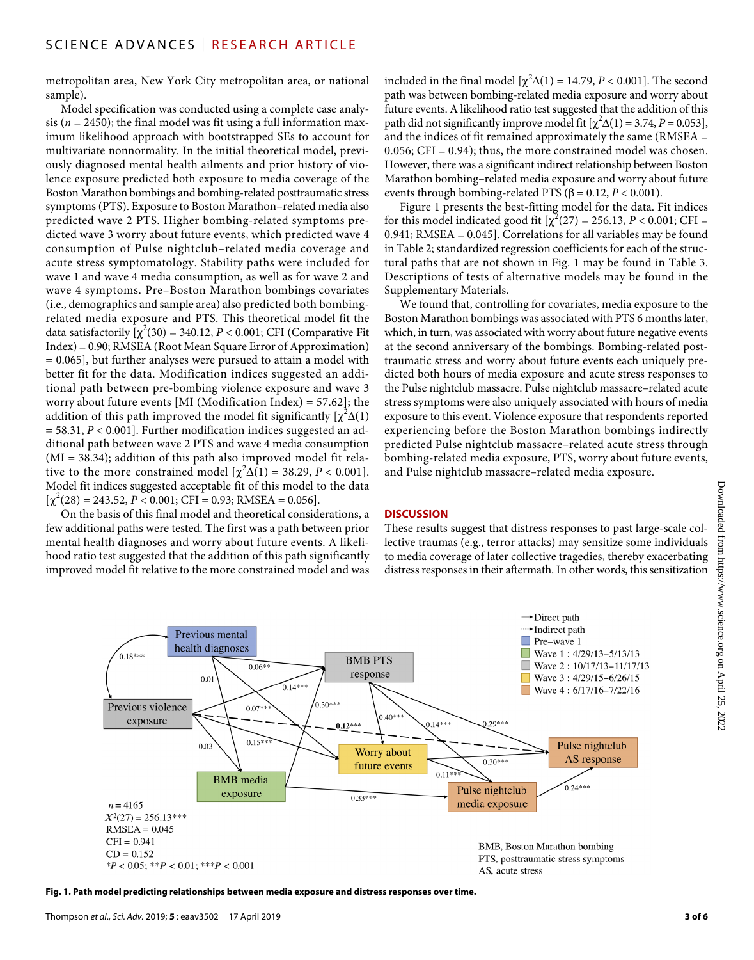metropolitan area, New York City metropolitan area, or national sample).

Model specification was conducted using a complete case analysis ( $n = 2450$ ); the final model was fit using a full information maximum likelihood approach with bootstrapped SEs to account for multivariate nonnormality. In the initial theoretical model, previously diagnosed mental health ailments and prior history of violence exposure predicted both exposure to media coverage of the Boston Marathon bombings and bombing-related posttraumatic stress symptoms (PTS). Exposure to Boston Marathon–related media also predicted wave 2 PTS. Higher bombing-related symptoms predicted wave 3 worry about future events, which predicted wave 4 consumption of Pulse nightclub–related media coverage and acute stress symptomatology. Stability paths were included for wave 1 and wave 4 media consumption, as well as for wave 2 and wave 4 symptoms. Pre–Boston Marathon bombings covariates (i.e., demographics and sample area) also predicted both bombingrelated media exposure and PTS. This theoretical model fit the data satisfactorily  $\left[\chi^2(30) = 340.12, P < 0.001; \text{CFI} \right]$  (Comparative Fit Index) = 0.90; RMSEA (Root Mean Square Error of Approximation) = 0.065], but further analyses were pursued to attain a model with better fit for the data. Modification indices suggested an additional path between pre-bombing violence exposure and wave 3 worry about future events [MI (Modification Index) = 57.62]; the addition of this path improved the model fit significantly  $[\chi^2\Delta(1)]$ = 58.31, *P* < 0.001]. Further modification indices suggested an additional path between wave 2 PTS and wave 4 media consumption (MI = 38.34); addition of this path also improved model fit relative to the more constrained model  $[\chi^2\Delta(1) = 38.29, P < 0.001]$ . Model fit indices suggested acceptable fit of this model to the data  $[\chi^2(28) = 243.52, P < 0.001; CFI = 0.93; RMSEA = 0.056].$ 

On the basis of this final model and theoretical considerations, a few additional paths were tested. The first was a path between prior mental health diagnoses and worry about future events. A likelihood ratio test suggested that the addition of this path significantly improved model fit relative to the more constrained model and was included in the final model  $[\chi^2\Delta(1) = 14.79, P < 0.001]$ . The second path was between bombing-related media exposure and worry about future events. A likelihood ratio test suggested that the addition of this path did not significantly improve model fit  $[\chi^2\Delta(1) = 3.74, P = 0.053]$ , and the indices of fit remained approximately the same (RMSEA = 0.056; CFI = 0.94); thus, the more constrained model was chosen. However, there was a significant indirect relationship between Boston Marathon bombing–related media exposure and worry about future events through bombing-related PTS ( $\beta$  = 0.12, *P* < 0.001).

Figure 1 presents the best-fitting model for the data. Fit indices for this model indicated good fit  $[\chi^2(27) = 256.13, P < 0.001; CFI =$ 0.941; RMSEA = 0.045]. Correlations for all variables may be found in Table 2; standardized regression coefficients for each of the structural paths that are not shown in Fig. 1 may be found in Table 3. Descriptions of tests of alternative models may be found in the Supplementary Materials.

We found that, controlling for covariates, media exposure to the Boston Marathon bombings was associated with PTS 6 months later, which, in turn, was associated with worry about future negative events at the second anniversary of the bombings. Bombing-related posttraumatic stress and worry about future events each uniquely predicted both hours of media exposure and acute stress responses to the Pulse nightclub massacre. Pulse nightclub massacre–related acute stress symptoms were also uniquely associated with hours of media exposure to this event. Violence exposure that respondents reported experiencing before the Boston Marathon bombings indirectly predicted Pulse nightclub massacre–related acute stress through bombing-related media exposure, PTS, worry about future events, and Pulse nightclub massacre–related media exposure.

#### **DISCUSSION**

These results suggest that distress responses to past large-scale collective traumas (e.g., terror attacks) may sensitize some individuals to media coverage of later collective tragedies, thereby exacerbating distress responses in their aftermath. In other words, this sensitization



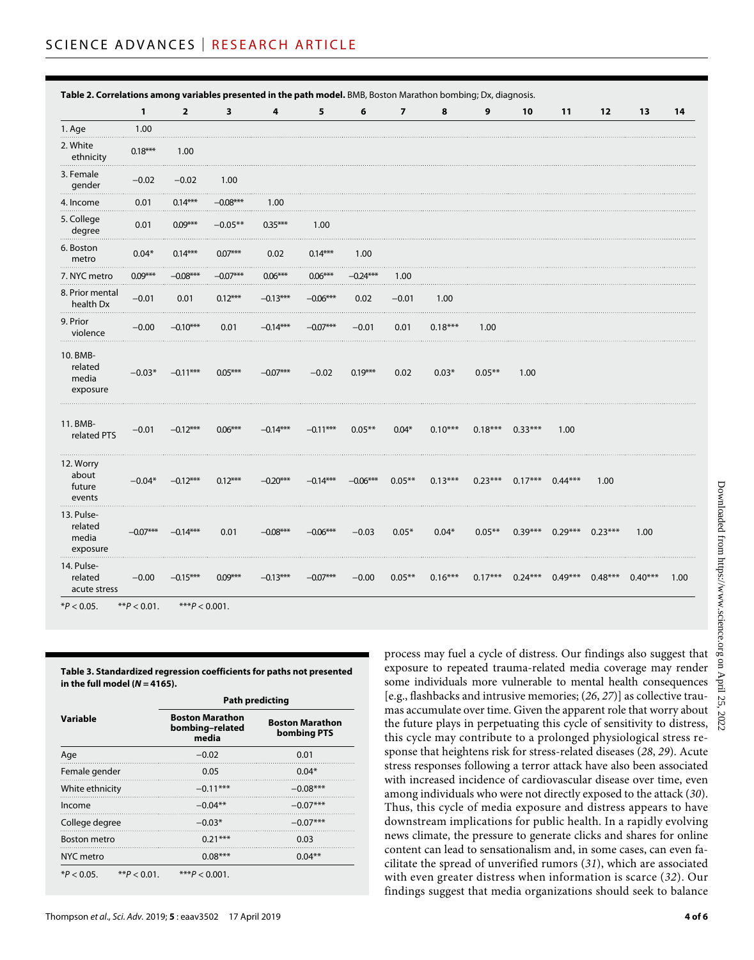**Table 2. Correlations among variables presented in the path model.** BMB, Boston Marathon bombing; Dx, diagnosis.

|                                            | 1          | $\overline{2}$ | 3          | 4          | 5          | 6          | $\overline{\phantom{a}}$ | 8         | 9         | 10                                      | 11                  | $12$      | 13        | 14   |
|--------------------------------------------|------------|----------------|------------|------------|------------|------------|--------------------------|-----------|-----------|-----------------------------------------|---------------------|-----------|-----------|------|
| 1. Age                                     | 1.00       |                |            |            |            |            |                          |           |           |                                         |                     |           |           |      |
| 2. White<br>ethnicity                      | $0.18***$  | 1.00           |            |            |            |            |                          |           |           |                                         |                     |           |           |      |
| 3. Female<br>gender                        | $-0.02$    | $-0.02$        | 1.00       |            |            |            |                          |           |           |                                         |                     |           |           |      |
| 4. Income                                  | 0.01       | $0.14***$      | $-0.08***$ | 1.00       |            |            |                          |           |           |                                         |                     |           |           |      |
| 5. College<br>degree                       | 0.01       | $0.09***$      | $-0.05**$  | $0.35***$  | 1.00       |            |                          |           |           |                                         |                     |           |           |      |
| 6. Boston<br>metro                         | $0.04*$    | $0.14***$      | $0.07***$  | 0.02       | $0.14***$  | 1.00       |                          |           |           |                                         |                     |           |           |      |
| 7. NYC metro                               | $0.09***$  | $-0.08***$     | $-0.07***$ | $0.06***$  | $0.06***$  | $-0.24***$ | 1.00                     |           |           |                                         |                     |           |           |      |
| 8. Prior mental<br>health Dx               | $-0.01$    | 0.01           | $0.12***$  | $-0.13***$ | $-0.06***$ | 0.02       | $-0.01$                  | 1.00      |           |                                         |                     |           |           |      |
| 9. Prior<br>violence                       | $-0.00$    | $-0.10***$     | 0.01       | $-0.14***$ | $-0.07***$ | $-0.01$    | 0.01                     | $0.18***$ | 1.00      |                                         |                     |           |           |      |
| 10. BMB-<br>related<br>media<br>exposure   | $-0.03*$   | $-0.11***$     | $0.05***$  | $-0.07***$ | $-0.02$    | $0.19***$  | 0.02                     | $0.03*$   | $0.05***$ | 1.00                                    |                     |           |           |      |
| 11. BMB-<br>related PTS                    | $-0.01$    | $-0.12***$     | $0.06***$  | $-0.14***$ | $-0.11***$ | $0.05***$  | $0.04*$                  | $0.10***$ |           | $0.18***$ $0.33***$                     | 1.00                |           |           |      |
| 12. Worry<br>about<br>future<br>events     | $-0.04*$   | $-0.12***$     | $0.12***$  | $-0.20***$ | $-0.14***$ | $-0.06***$ | $0.05***$                | $0.13***$ |           | $0.23***$ $0.17***$ $0.44***$           |                     | 1.00      |           |      |
| 13. Pulse-<br>related<br>media<br>exposure | $-0.07***$ | $-0.14***$     | 0.01       | $-0.08***$ | $-0.06***$ | $-0.03$    | $0.05*$                  | $0.04*$   | $0.05***$ |                                         | $0.39***$ $0.29***$ | $0.23***$ | 1.00      |      |
| 14. Pulse-<br>related<br>acute stress      | $-0.00$    | $-0.15***$     | $0.09***$  | $-0.13***$ | $-0.07***$ | $-0.00$    | $0.05***$                | $0.16***$ |           | $0.17***$ $0.24***$ $0.49***$ $0.48***$ |                     |           | $0.40***$ | 1.00 |

**Table 3. Standardized regression coefficients for paths not presented in the full model (***N* **= 4165).**

|                                | <b>Path predicting</b>                             |                                       |  |  |  |  |
|--------------------------------|----------------------------------------------------|---------------------------------------|--|--|--|--|
| Variable                       | <b>Boston Marathon</b><br>bombing-related<br>media | <b>Boston Marathon</b><br>bombing PTS |  |  |  |  |
| Age                            | $-0.02$                                            | 0.01                                  |  |  |  |  |
| Female gender                  | 0.05                                               | $0.04*$                               |  |  |  |  |
| White ethnicity                | $-0.11***$                                         | $-0.08***$                            |  |  |  |  |
| Income                         | $-0.04**$                                          | $-0.07***$                            |  |  |  |  |
| College degree                 | $-0.03*$                                           | $-0.07***$                            |  |  |  |  |
| <b>Boston metro</b>            | $0.21***$                                          | 0.03                                  |  |  |  |  |
| NYC metro                      | $0.08***$                                          | $0.04**$                              |  |  |  |  |
| $*P < 0.05$<br>** $P < 0.01$ . | *** $P < 0.001$ .                                  |                                       |  |  |  |  |

process may fuel a cycle of distress. Our findings also suggest that exposure to repeated trauma-related media coverage may render some individuals more vulnerable to mental health consequences [e.g., flashbacks and intrusive memories; (*26*, *27*)] as collective traumas accumulate over time. Given the apparent role that worry about the future plays in perpetuating this cycle of sensitivity to distress, this cycle may contribute to a prolonged physiological stress response that heightens risk for stress-related diseases (*28*, *29*). Acute stress responses following a terror attack have also been associated with increased incidence of cardiovascular disease over time, even among individuals who were not directly exposed to the attack (*30*). Thus, this cycle of media exposure and distress appears to have downstream implications for public health. In a rapidly evolving news climate, the pressure to generate clicks and shares for online content can lead to sensationalism and, in some cases, can even facilitate the spread of unverified rumors (*31*), which are associated with even greater distress when information is scarce (*32*). Our findings suggest that media organizations should seek to balance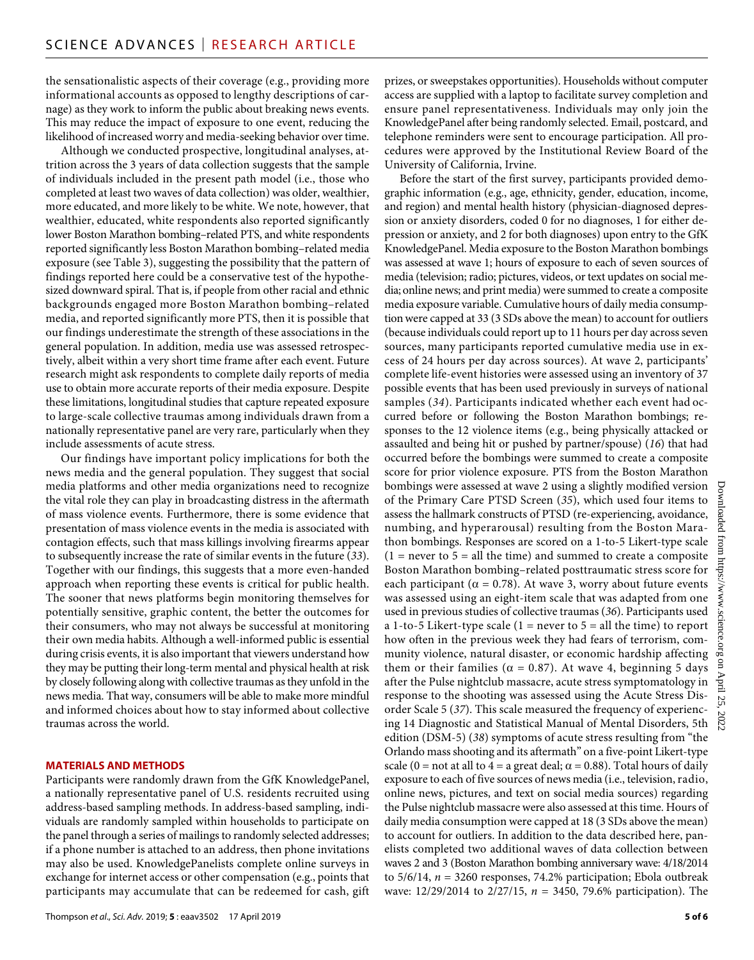the sensationalistic aspects of their coverage (e.g., providing more informational accounts as opposed to lengthy descriptions of carnage) as they work to inform the public about breaking news events. This may reduce the impact of exposure to one event, reducing the likelihood of increased worry and media-seeking behavior over time.

Although we conducted prospective, longitudinal analyses, attrition across the 3 years of data collection suggests that the sample of individuals included in the present path model (i.e., those who completed at least two waves of data collection) was older, wealthier, more educated, and more likely to be white. We note, however, that wealthier, educated, white respondents also reported significantly lower Boston Marathon bombing–related PTS, and white respondents reported significantly less Boston Marathon bombing–related media exposure (see Table 3), suggesting the possibility that the pattern of findings reported here could be a conservative test of the hypothesized downward spiral. That is, if people from other racial and ethnic backgrounds engaged more Boston Marathon bombing–related media, and reported significantly more PTS, then it is possible that our findings underestimate the strength of these associations in the general population. In addition, media use was assessed retrospectively, albeit within a very short time frame after each event. Future research might ask respondents to complete daily reports of media use to obtain more accurate reports of their media exposure. Despite these limitations, longitudinal studies that capture repeated exposure to large-scale collective traumas among individuals drawn from a nationally representative panel are very rare, particularly when they include assessments of acute stress.

Our findings have important policy implications for both the news media and the general population. They suggest that social media platforms and other media organizations need to recognize the vital role they can play in broadcasting distress in the aftermath of mass violence events. Furthermore, there is some evidence that presentation of mass violence events in the media is associated with contagion effects, such that mass killings involving firearms appear to subsequently increase the rate of similar events in the future (*33*). Together with our findings, this suggests that a more even-handed approach when reporting these events is critical for public health. The sooner that news platforms begin monitoring themselves for potentially sensitive, graphic content, the better the outcomes for their consumers, who may not always be successful at monitoring their own media habits. Although a well-informed public is essential during crisis events, it is also important that viewers understand how they may be putting their long-term mental and physical health at risk by closely following along with collective traumas as they unfold in the news media. That way, consumers will be able to make more mindful and informed choices about how to stay informed about collective traumas across the world.

#### **MATERIALS AND METHODS**

Participants were randomly drawn from the GfK KnowledgePanel, a nationally representative panel of U.S. residents recruited using address-based sampling methods. In address-based sampling, individuals are randomly sampled within households to participate on the panel through a series of mailings to randomly selected addresses; if a phone number is attached to an address, then phone invitations may also be used. KnowledgePanelists complete online surveys in exchange for internet access or other compensation (e.g., points that participants may accumulate that can be redeemed for cash, gift

prizes, or sweepstakes opportunities). Households without computer access are supplied with a laptop to facilitate survey completion and ensure panel representativeness. Individuals may only join the KnowledgePanel after being randomly selected. Email, postcard, and telephone reminders were sent to encourage participation. All procedures were approved by the Institutional Review Board of the University of California, Irvine.

Before the start of the first survey, participants provided demographic information (e.g., age, ethnicity, gender, education, income, and region) and mental health history (physician-diagnosed depression or anxiety disorders, coded 0 for no diagnoses, 1 for either depression or anxiety, and 2 for both diagnoses) upon entry to the GfK KnowledgePanel. Media exposure to the Boston Marathon bombings was assessed at wave 1; hours of exposure to each of seven sources of media (television; radio; pictures, videos, or text updates on social media; online news; and print media) were summed to create a composite media exposure variable. Cumulative hours of daily media consumption were capped at 33 (3 SDs above the mean) to account for outliers (because individuals could report up to 11 hours per day across seven sources, many participants reported cumulative media use in excess of 24 hours per day across sources). At wave 2, participants' complete life-event histories were assessed using an inventory of 37 possible events that has been used previously in surveys of national samples (*34*). Participants indicated whether each event had occurred before or following the Boston Marathon bombings; responses to the 12 violence items (e.g., being physically attacked or assaulted and being hit or pushed by partner/spouse) (*16*) that had occurred before the bombings were summed to create a composite score for prior violence exposure. PTS from the Boston Marathon bombings were assessed at wave 2 using a slightly modified version of the Primary Care PTSD Screen (*35*), which used four items to assess the hallmark constructs of PTSD (re-experiencing, avoidance, numbing, and hyperarousal) resulting from the Boston Marathon bombings. Responses are scored on a 1-to-5 Likert-type scale  $(1 =$  never to  $5 =$  all the time) and summed to create a composite Boston Marathon bombing–related posttraumatic stress score for each participant ( $\alpha = 0.78$ ). At wave 3, worry about future events was assessed using an eight-item scale that was adapted from one used in previous studies of collective traumas (*36*). Participants used a 1-to-5 Likert-type scale (1 = never to  $5 =$  all the time) to report how often in the previous week they had fears of terrorism, community violence, natural disaster, or economic hardship affecting them or their families ( $\alpha = 0.87$ ). At wave 4, beginning 5 days after the Pulse nightclub massacre, acute stress symptomatology in response to the shooting was assessed using the Acute Stress Disorder Scale 5 (*37*). This scale measured the frequency of experiencing 14 Diagnostic and Statistical Manual of Mental Disorders, 5th edition (DSM-5) (*38*) symptoms of acute stress resulting from "the Orlando mass shooting and its aftermath" on a five-point Likert-type scale (0 = not at all to 4 = a great deal;  $\alpha$  = 0.88). Total hours of daily exposure to each of five sources of news media (i.e., television, radio, online news, pictures, and text on social media sources) regarding the Pulse nightclub massacre were also assessed at this time. Hours of daily media consumption were capped at 18 (3 SDs above the mean) to account for outliers. In addition to the data described here, panelists completed two additional waves of data collection between waves 2 and 3 (Boston Marathon bombing anniversary wave: 4/18/2014 to 5/6/14, *n* = 3260 responses, 74.2% participation; Ebola outbreak wave: 12/29/2014 to 2/27/15, *n* = 3450, 79.6% participation). The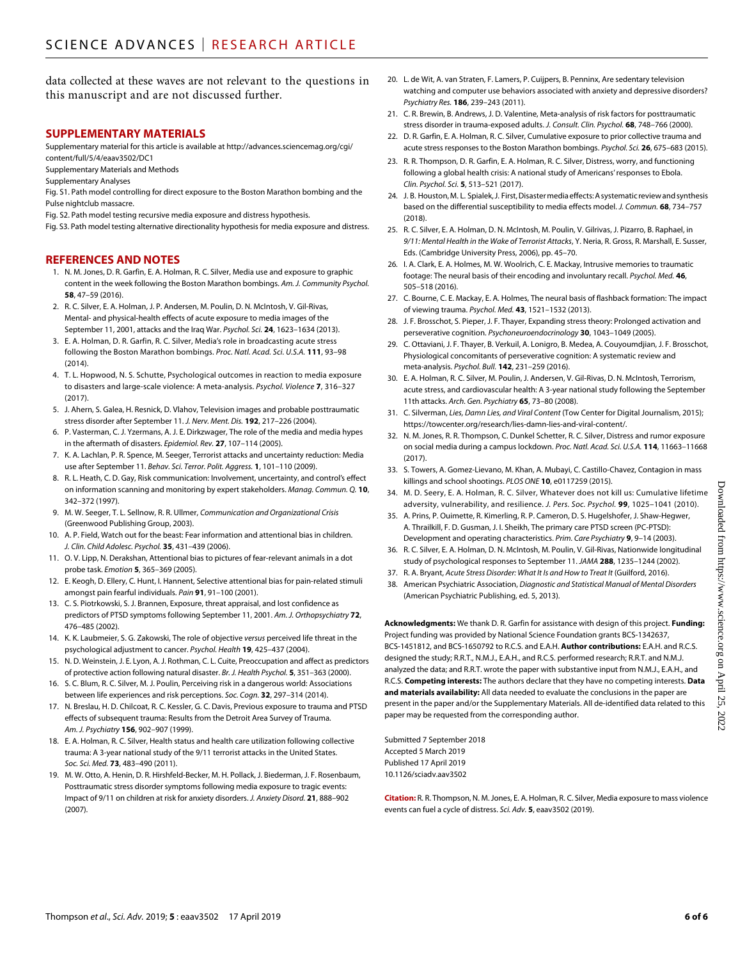data collected at these waves are not relevant to the questions in this manuscript and are not discussed further.

#### **SUPPLEMENTARY MATERIALS**

Supplementary material for this article is available at [http://advances.sciencemag.org/cgi/](http://advances.sciencemag.org/cgi/content/full/5/4/eaav3502/DC1) [content/full/5/4/eaav3502/DC1](http://advances.sciencemag.org/cgi/content/full/5/4/eaav3502/DC1)

Supplementary Materials and Methods

Supplementary Analyses

Fig. S1. Path model controlling for direct exposure to the Boston Marathon bombing and the Pulse nightclub massacre.

Fig. S2. Path model testing recursive media exposure and distress hypothesis.

Fig. S3. Path model testing alternative directionality hypothesis for media exposure and distress.

#### **REFERENCES AND NOTES**

- 1. N. M. Jones, D. R. Garfin, E. A. Holman, R. C. Silver, Media use and exposure to graphic content in the week following the Boston Marathon bombings. *Am. J. Community Psychol.* **58**, 47–59 (2016).
- 2. R. C. Silver, E. A. Holman, J. P. Andersen, M. Poulin, D. N. McIntosh, V. Gil-Rivas, Mental- and physical-health effects of acute exposure to media images of the September 11, 2001, attacks and the Iraq War. *Psychol. Sci.* **24**, 1623–1634 (2013).
- 3. E. A. Holman, D. R. Garfin, R. C. Silver, Media's role in broadcasting acute stress following the Boston Marathon bombings. *Proc. Natl. Acad. Sci. U.S.A.* **111**, 93–98 (2014).
- 4. T. L. Hopwood, N. S. Schutte, Psychological outcomes in reaction to media exposure to disasters and large-scale violence: A meta-analysis. *Psychol. Violence* **7**, 316–327 (2017).
- 5. J. Ahern, S. Galea, H. Resnick, D. Vlahov, Television images and probable posttraumatic stress disorder after September 11. *J. Nerv. Ment. Dis.* **192**, 217–226 (2004).
- 6. P. Vasterman, C. J. Yzermans, A. J. E. Dirkzwager, The role of the media and media hypes in the aftermath of disasters. *Epidemiol. Rev.* **27**, 107–114 (2005).
- 7. K. A. Lachlan, P. R. Spence, M. Seeger, Terrorist attacks and uncertainty reduction: Media use after September 11. *Behav. Sci. Terror. Polit. Aggress.* **1**, 101–110 (2009).
- 8. R. L. Heath, C. D. Gay, Risk communication: Involvement, uncertainty, and control's effect on information scanning and monitoring by expert stakeholders. *Manag. Commun. Q.* **10**, 342–372 (1997).
- 9. M. W. Seeger, T. L. Sellnow, R. R. Ullmer, *Communication and Organizational Crisis* (Greenwood Publishing Group, 2003).
- 10. A. P. Field, Watch out for the beast: Fear information and attentional bias in children. *J. Clin. Child Adolesc. Psychol.* **35**, 431–439 (2006).
- 11. O. V. Lipp, N. Derakshan, Attentional bias to pictures of fear-relevant animals in a dot probe task. *Emotion* **5**, 365–369 (2005).
- 12. E. Keogh, D. Ellery, C. Hunt, I. Hannent, Selective attentional bias for pain-related stimuli amongst pain fearful individuals. *Pain* **91**, 91–100 (2001).
- 13. C. S. Piotrkowski, S. J. Brannen, Exposure, threat appraisal, and lost confidence as predictors of PTSD symptoms following September 11, 2001. *Am. J. Orthopsychiatry* **72**, 476–485 (2002).
- 14. K. K. Laubmeier, S. G. Zakowski, The role of objective *versus* perceived life threat in the psychological adjustment to cancer. *Psychol. Health* **19**, 425–437 (2004).
- 15. N. D. Weinstein, J. E. Lyon, A. J. Rothman, C. L. Cuite, Preoccupation and affect as predictors of protective action following natural disaster. *Br. J. Health Psychol.* **5**, 351–363 (2000).
- 16. S. C. Blum, R. C. Silver, M. J. Poulin, Perceiving risk in a dangerous world: Associations between life experiences and risk perceptions. *Soc. Cogn.* **32**, 297–314 (2014).
- 17. N. Breslau, H. D. Chilcoat, R. C. Kessler, G. C. Davis, Previous exposure to trauma and PTSD effects of subsequent trauma: Results from the Detroit Area Survey of Trauma. *Am. J. Psychiatry* **156**, 902–907 (1999).
- 18. E. A. Holman, R. C. Silver, Health status and health care utilization following collective trauma: A 3-year national study of the 9/11 terrorist attacks in the United States. *Soc. Sci. Med.* **73**, 483–490 (2011).
- 19. M. W. Otto, A. Henin, D. R. Hirshfeld-Becker, M. H. Pollack, J. Biederman, J. F. Rosenbaum, Posttraumatic stress disorder symptoms following media exposure to tragic events: Impact of 9/11 on children at risk for anxiety disorders. *J. Anxiety Disord.* **21**, 888–902 (2007).
- 20. L. de Wit, A. van Straten, F. Lamers, P. Cuijpers, B. Penninx, Are sedentary television watching and computer use behaviors associated with anxiety and depressive disorders? *Psychiatry Res.* **186**, 239–243 (2011).
- 21. C. R. Brewin, B. Andrews, J. D. Valentine, Meta-analysis of risk factors for posttraumatic stress disorder in trauma-exposed adults. *J. Consult. Clin. Psychol.* **68**, 748–766 (2000).
- 22. D. R. Garfin, E. A. Holman, R. C. Silver, Cumulative exposure to prior collective trauma and acute stress responses to the Boston Marathon bombings. *Psychol. Sci.* **26**, 675–683 (2015).
- 23. R. R. Thompson, D. R. Garfin, E. A. Holman, R. C. Silver, Distress, worry, and functioning following a global health crisis: A national study of Americans' responses to Ebola. *Clin. Psychol. Sci.* **5**, 513–521 (2017).
- 24. J. B. Houston, M. L. Spialek, J. First, Disaster media effects: A systematic review and synthesis based on the differential susceptibility to media effects model. *J. Commun.* **68**, 734–757 (2018).
- 25. R. C. Silver, E. A. Holman, D. N. McIntosh, M. Poulin, V. Gilrivas, J. Pizarro, B. Raphael, in *9/11: Mental Health in the Wake of Terrorist Attacks*, Y. Neria, R. Gross, R. Marshall, E. Susser, Eds. (Cambridge University Press, 2006), pp. 45–70.
- 26. I. A. Clark, E. A. Holmes, M. W. Woolrich, C. E. Mackay, Intrusive memories to traumatic footage: The neural basis of their encoding and involuntary recall. *Psychol. Med.* **46**, 505–518 (2016).
- 27. C. Bourne, C. E. Mackay, E. A. Holmes, The neural basis of flashback formation: The impact of viewing trauma. *Psychol. Med.* **43**, 1521–1532 (2013).
- 28. J. F. Brosschot, S. Pieper, J. F. Thayer, Expanding stress theory: Prolonged activation and perseverative cognition. *Psychoneuroendocrinology* **30**, 1043–1049 (2005).
- 29. C. Ottaviani, J. F. Thayer, B. Verkuil, A. Lonigro, B. Medea, A. Couyoumdjian, J. F. Brosschot, Physiological concomitants of perseverative cognition: A systematic review and meta-analysis. *Psychol. Bull.* **142**, 231–259 (2016).
- 30. E. A. Holman, R. C. Silver, M. Poulin, J. Andersen, V. Gil-Rivas, D. N. McIntosh, Terrorism, acute stress, and cardiovascular health: A 3-year national study following the September 11th attacks. *Arch. Gen. Psychiatry* **65**, 73–80 (2008).
- 31. C. Silverman, *Lies, Damn Lies, and Viral Content* (Tow Center for Digital Journalism, 2015); [https://towcenter.org/research/lies-damn-lies-and-viral-content/](https://towcenter.org/research/lies-damn-lies-and-viral-content).
- 32. N. M. Jones, R. R. Thompson, C. Dunkel Schetter, R. C. Silver, Distress and rumor exposure on social media during a campus lockdown. *Proc. Natl. Acad. Sci. U.S.A.* **114**, 11663–11668  $(2017)$
- 33. S. Towers, A. Gomez-Lievano, M. Khan, A. Mubayi, C. Castillo-Chavez, Contagion in mass killings and school shootings. *PLOS ONE* **10**, e0117259 (2015).
- 34. M. D. Seery, E. A. Holman, R. C. Silver, Whatever does not kill us: Cumulative lifetime adversity, vulnerability, and resilience. *J. Pers. Soc. Psychol.* **99**, 1025–1041 (2010).
- 35. A. Prins, P. Ouimette, R. Kimerling, R. P. Cameron, D. S. Hugelshofer, J. Shaw-Hegwer, A. Thrailkill, F. D. Gusman, J. I. Sheikh, The primary care PTSD screen (PC-PTSD): Development and operating characteristics. *Prim. Care Psychiatry* **9**, 9–14 (2003).
- 36. R. C. Silver, E. A. Holman, D. N. McIntosh, M. Poulin, V. Gil-Rivas, Nationwide longitudinal study of psychological responses to September 11. *JAMA* **288**, 1235–1244 (2002).
- 37. R. A. Bryant, *Acute Stress Disorder: What It Is and How to Treat It* (Guilford, 2016). 38. American Psychiatric Association, *Diagnostic and Statistical Manual of Mental Disorders* (American Psychiatric Publishing, ed. 5, 2013).

**Acknowledgments:** We thank D. R. Garfin for assistance with design of this project. **Funding:** Project funding was provided by National Science Foundation grants BCS-1342637, BCS-1451812, and BCS-1650792 to R.C.S. and E.A.H. **Author contributions:** E.A.H. and R.C.S. designed the study; R.R.T., N.M.J., E.A.H., and R.C.S. performed research; R.R.T. and N.M.J. analyzed the data; and R.R.T. wrote the paper with substantive input from N.M.J., E.A.H., and R.C.S. **Competing interests:** The authors declare that they have no competing interests. **Data and materials availability:** All data needed to evaluate the conclusions in the paper are present in the paper and/or the Supplementary Materials. All de-identified data related to this paper may be requested from the corresponding author.

Submitted 7 September 2018 Accepted 5 March 2019 Published 17 April 2019 10.1126/sciadv.aav3502

**Citation:** R. R. Thompson, N. M. Jones, E. A. Holman, R. C. Silver, Media exposure to mass violence events can fuel a cycle of distress. *Sci. Adv.* **5**, eaav3502 (2019).